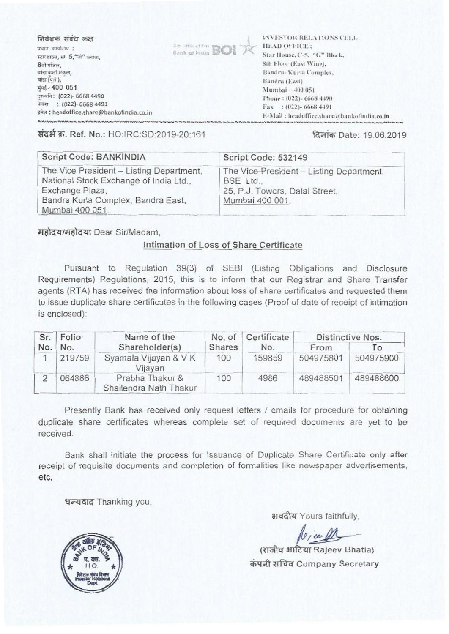

संदर्भ क्र. Ref. No.: HO:IRC:SD:2019-20:161

## दिनांक Date: 19.06.2019

| Script Code: BANKINDIA                                                                                                                                         | Script Code: 532149                                                                                        |
|----------------------------------------------------------------------------------------------------------------------------------------------------------------|------------------------------------------------------------------------------------------------------------|
| The Vice President - Listing Department,<br>National Stock Exchange of India Ltd.,<br>Exchange Plaza,<br>Bandra Kurla Complex, Bandra East,<br>Mumbai 400 051. | The Vice-President - Listing Department,<br>BSE Ltd.,<br>25, P.J. Towers, Dalal Street,<br>Mumbai 400 001. |

महोदय/महोदया Dear Sir/Madam,

## Intimation of Loss of Share Certificate

Pursuant to Regulation 39(3) of SEBI (Listing Obligations and Disclosure Requirements) Regulations, 2015, this is to inform that our Registrar and Share Transfer agents (RTA) has received the information about loss of share certificates and requested them to issue duplicate share certificates in the following cases (Proof of date of receipt of intimation is enclosed):

| Sr. | Folio<br>Name of the<br>Shareholder(s)<br>No. |                                           | No. of | Certificate | Distinctive Nos. |           |
|-----|-----------------------------------------------|-------------------------------------------|--------|-------------|------------------|-----------|
| No. |                                               | Shares                                    | No.    | From        | 10               |           |
|     | 219759                                        | Syamala Vijayan & V K<br>Vijayan          | 100    | 159859      | 504975801        | 504975900 |
|     | 064886                                        | Prabha Thakur &<br>Shailendra Nath Thakur | 100    | 4986        | 489488501        | 489488600 |

Presently Bank has received only request letters / emails for procedure for obtaining duplicate share certificates whereas complete set of required documents are yet to be received.

Bank shall initiate the process for Issuance of Duplicate Share Certificate only after receipt of requisite documents and completion of formalities like newspaper advertisements, etc.

धन्यवाद Thanking you,

अवदीय Yours faithfully,

 $\sqrt{\ell}$  /  $\ell$  /  $\ell$  /  $\ell$  /  $\ell$  /  $\ell$  /  $\ell$  /  $\ell$  /  $\ell$  /  $\ell$  /  $\ell$  /  $\ell$  /  $\ell$  /  $\ell$  /  $\ell$  /  $\ell$  /  $\ell$  /  $\ell$  /  $\ell$  /  $\ell$  /  $\ell$  /  $\ell$  /  $\ell$  /  $\ell$  /  $\ell$  /  $\ell$  /  $\ell$  /  $\ell$  /  $\ell$  /  $\ell$  /  $\ell$  / कंपनी सचिव Company Secretary

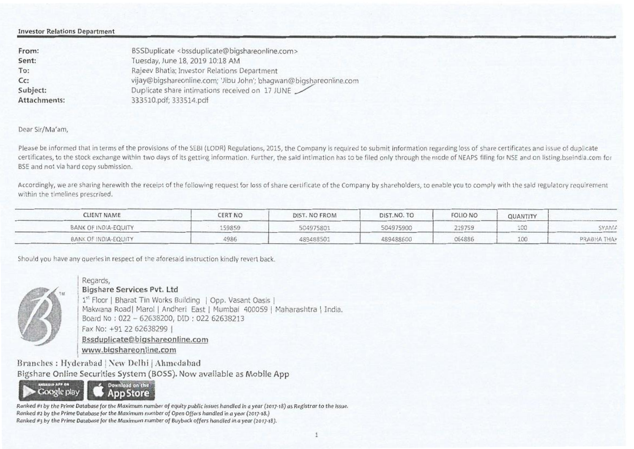#### Investor Relations Department

| BSSDuplicate <bssduplicate@bigshareonline.com></bssduplicate@bigshareonline.com> |
|----------------------------------------------------------------------------------|
| Tuesday, June 18, 2019 10:18 AM                                                  |
| Rajeev Bhatia; Investor Relations Department                                     |
| vijay@bigshareonline.com; 'Jibu John'; bhagwan@bigshareonline.com                |
| Duplicate share intimations received on 17 JUNE                                  |
| 333510.pdf; 333514.pdf                                                           |
|                                                                                  |

### Dear Sir/Ma'am,

Please be informed that in terms of the provisions of the SEBI (LODR) Regulations, 2015, the Company is required to submit information regarding loss of share certificates and issue of duplicate certificates, to the stock exchange within two days of its getting information. Further, the said intimation has to be filed only through the mode of NEAPS filing for NSE and on listing.bseindia.com for BSE and not via hard copy submission.

Accordingly, we are sharing herewith the receipt of the following request for loss of share certificate of the Company by shareholders, to enable you to comply with the said regulatory requirement within the timelines prescribed.

| CLIENT NAME          | CERT NO | DIST. NO FROM | DIST.NO. TO | <b>FOLIO NO</b> | QUANTITY |             |
|----------------------|---------|---------------|-------------|-----------------|----------|-------------|
| BANK OF INDIA-EQUITY | 59859   | 504975801     | 504975900   | 219759          |          | SYAM#       |
| BANK OF INDIA-EQUITY | 4986    | 489488501     | 489488600   | 064886          |          | PRABHA THA? |

Should you have any queries in respect of the aforesaid instruction kindly revert back.



Bigshare Services Pvt. Ltd

Regards,

1<sup>st</sup> Floor | Bharat Tin Works Building | Opp. Vasant Oasis | Makwana Road | Marol | Andheri East | Mumbai 400059 | Maharashtra | India. Board No : 022 - 62638200, DID : 022 62638213 Fax No: +91 22 62638299 I Bssduolicateebiashareonline.com www.bioshareonline.com

Branches : Hyderabad | New Delhi | Ahmedabad Bigshare Online Securities System (BOSS). Now available as Mobile App



Ranked it by the Prime Database for the Maximum number of equity public Issues handled in a year (2017.18) as Registrar to the Issue. Ranked #2 by the Prime Database for the Maximum number of Open Offers handled in a year (2017-18.) Ranked #3 by the Prime Database for the Maximum number of Buyback offers handled in a year (2017-18).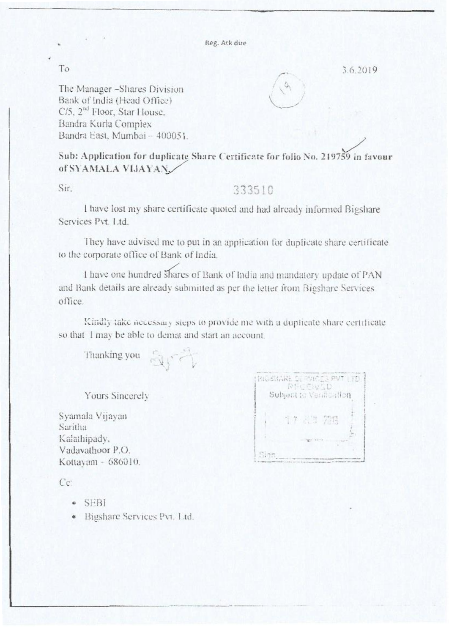Iteg. Ack due

To  $3.6.2019$ 

The Manager-Shares Division Bank of India (Head Office)  $C/5$ ,  $2<sup>nd</sup>$  Floor, Star House. Bandra Kuria Complex Bandra East, Mumbai -- 400051.

Sub: Application for duplicate Share Certificate for folio No. 219759 in favour of SYAMALA VIJAYAN

# Sir. 333510

I have lost my share certificate quoted and had already informed Bigshare Services Pvt. Ltd.

They have advised me to put in an application tor duplicate share certificate to the corporate office of Bank of India.

I have one hundred shares of Bank of India and mandatory update of PAN and Bank details are already submitted as per the letter from Bigshare Services office.

Kindly take necessary sieps to provide me with a duplicate share certificate so that I may be able to demat and start an account.

Thanking you

Yours Sincerely

Saritha Kalathipady. Vadavathoor P.O. **International State P.O.** Kottayam - 686010.

. \_ Pvt .  $\bar{\mathbb{Z}}$ ly Syzunaia Vijayan **• ; <sup>D</sup> <sup>I</sup>** 1

 $C_{\mathbb{C}}$ 

- SEBI
- Bigshare Services Piz. I ul.